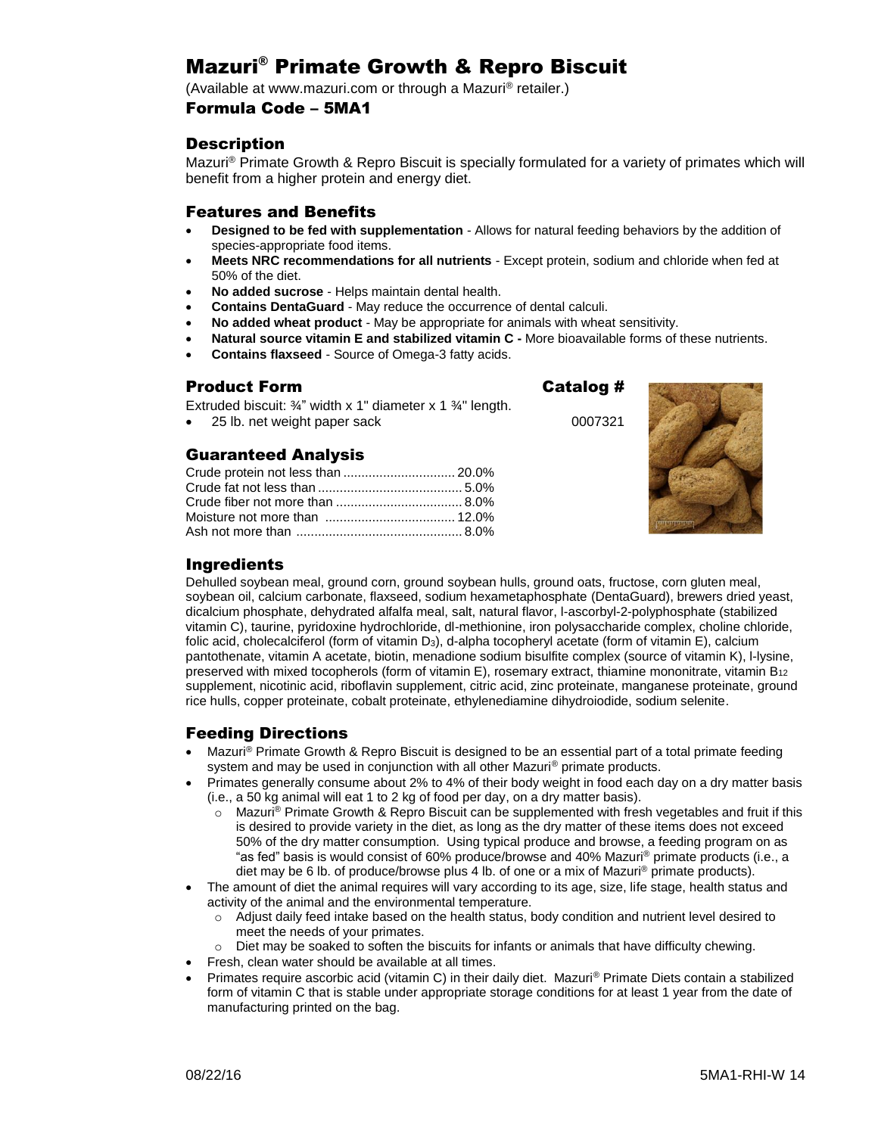# Mazuri® Primate Growth & Repro Biscuit

(Available at www.mazuri.com or through a Mazuri® retailer.)

#### Formula Code – 5MA1

## **Description**

Mazuri® Primate Growth & Repro Biscuit is specially formulated for a variety of primates which will benefit from a higher protein and energy diet.

#### Features and Benefits

- **Designed to be fed with supplementation**  Allows for natural feeding behaviors by the addition of species-appropriate food items.
- **Meets NRC recommendations for all nutrients** Except protein, sodium and chloride when fed at 50% of the diet.
- **No added sucrose** Helps maintain dental health.
- **Contains DentaGuard** May reduce the occurrence of dental calculi.
- **No added wheat product** May be appropriate for animals with wheat sensitivity.
- **Natural source vitamin E and stabilized vitamin C -** More bioavailable forms of these nutrients.
- **Contains flaxseed**  Source of Omega-3 fatty acids.

# Product Form Catalog #

Extruded biscuit: ¾" width x 1" diameter x 1 ¾" length.

25 lb. net weight paper sack 0007321

# Guaranteed Analysis

| Crude protein not less than  20.0% |  |
|------------------------------------|--|
|                                    |  |
|                                    |  |
|                                    |  |
|                                    |  |



## **Ingredients**

Dehulled soybean meal, ground corn, ground soybean hulls, ground oats, fructose, corn gluten meal, soybean oil, calcium carbonate, flaxseed, sodium hexametaphosphate (DentaGuard), brewers dried yeast, dicalcium phosphate, dehydrated alfalfa meal, salt, natural flavor, l-ascorbyl-2-polyphosphate (stabilized vitamin C), taurine, pyridoxine hydrochloride, dl-methionine, iron polysaccharide complex, choline chloride, folic acid, cholecalciferol (form of vitamin D3), d-alpha tocopheryl acetate (form of vitamin E), calcium pantothenate, vitamin A acetate, biotin, menadione sodium bisulfite complex (source of vitamin K), l-lysine, preserved with mixed tocopherols (form of vitamin E), rosemary extract, thiamine mononitrate, vitamin B<sub>12</sub> supplement, nicotinic acid, riboflavin supplement, citric acid, zinc proteinate, manganese proteinate, ground rice hulls, copper proteinate, cobalt proteinate, ethylenediamine dihydroiodide, sodium selenite.

### Feeding Directions

- Mazuri<sup>®</sup> Primate Growth & Repro Biscuit is designed to be an essential part of a total primate feeding system and may be used in conjunction with all other Mazuri<sup>®</sup> primate products.
- Primates generally consume about 2% to 4% of their body weight in food each day on a dry matter basis (i.e., a 50 kg animal will eat 1 to 2 kg of food per day, on a dry matter basis).
	- $\circ$  Mazuri® Primate Growth & Repro Biscuit can be supplemented with fresh vegetables and fruit if this is desired to provide variety in the diet, as long as the dry matter of these items does not exceed 50% of the dry matter consumption. Using typical produce and browse, a feeding program on as "as fed" basis is would consist of 60% produce/browse and 40% Mazuri® primate products (i.e., a diet may be 6 lb. of produce/browse plus 4 lb. of one or a mix of Mazuri<sup>®</sup> primate products).
- The amount of diet the animal requires will vary according to its age, size, life stage, health status and activity of the animal and the environmental temperature.
	- $\circ$  Adjust daily feed intake based on the health status, body condition and nutrient level desired to meet the needs of your primates.
	- $\circ$  Diet may be soaked to soften the biscuits for infants or animals that have difficulty chewing.
	- Fresh, clean water should be available at all times.
- Primates require ascorbic acid (vitamin C) in their daily diet. Mazuri® Primate Diets contain a stabilized form of vitamin C that is stable under appropriate storage conditions for at least 1 year from the date of manufacturing printed on the bag.